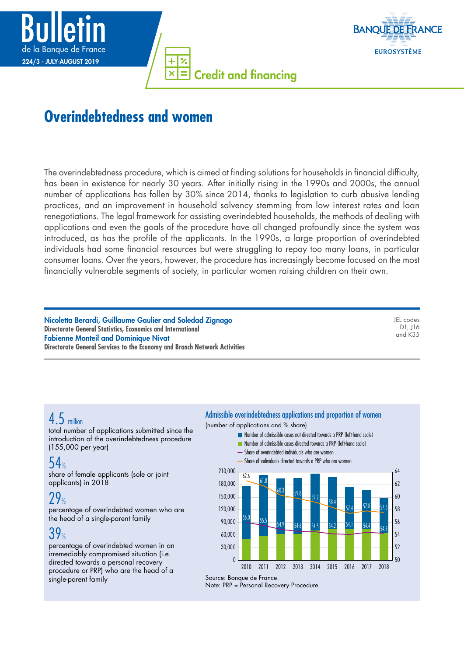



Credit and financing  $\overline{\mathbf{x}}$ 

# **Overindebtedness and women**

The overindebtedness procedure, which is aimed at finding solutions for households in financial difficulty, has been in existence for nearly 30 years. After initially rising in the 1990s and 2000s, the annual number of applications has fallen by 30% since 2014, thanks to legislation to curb abusive lending practices, and an improvement in household solvency stemming from low interest rates and loan renegotiations. The legal framework for assisting overindebted households, the methods of dealing with applications and even the goals of the procedure have all changed profoundly since the system was introduced, as has the profile of the applicants. In the 1990s, a large proportion of overindebted individuals had some financial resources but were struggling to repay too many loans, in particular consumer loans. Over the years, however, the procedure has increasingly become focused on the most financially vulnerable segments of society, in particular women raising children on their own.

Nicoletta Berardi, Guillaume Gaulier and Soledad Zignago **Directorate General Statistics, Economics and International** Fabienne Monteil and Dominique Nivat **Directorate General Services to the Economy and Branch Network Activities** JEL codes D1, J16 and K35

# 4.5 million

total number of applications submitted since the introduction of the overindebtedness procedure (155,000 per year)

# 54%

share of female applicants (sole or joint applicants) in 2018

## $29%$

percentage of overindebted women who are the head of a single-parent family

# $39%$

percentage of overindebted women in an irremediably compromised situation (i.e. directed towards a personal recovery procedure or PRP) who are the head of a single-parent family

#### Admissible overindebtedness applications and proportion of women

(number of applications and % share)

- Number of admissible cases not directed towards a PRP (left-hand scale)
	- **Number of admissible cases directed towards a PRP (left-hand scale)**
	- Share of overindebted individuals who are women
	- Share of individuals directed towards a PRP who are women



Note: PRP = Personal Recovery Procedure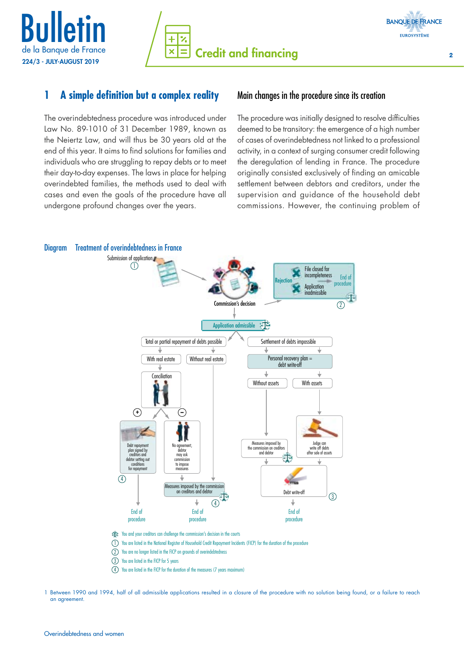



#### **1 A simple definition but a complex reality**

The overindebtedness procedure was introduced under Law No. 89-1010 of 31 December 1989, known as the Neiertz Law, and will thus be 30 years old at the end of this year. It aims to find solutions for families and individuals who are struggling to repay debts or to meet their day-to-day expenses. The laws in place for helping overindebted families, the methods used to deal with cases and even the goals of the procedure have all undergone profound changes over the years.

#### Main changes in the procedure since its creation

The procedure was initially designed to resolve difficulties deemed to be transitory: the emergence of a high number of cases of overindebtedness not linked to a professional activity, in a context of surging consumer credit following the deregulation of lending in France. The procedure originally consisted exclusively of finding an amicable settlement between debtors and creditors, under the supervision and guidance of the household debt commissions. However, the continuing problem of



- $\widehat{T}$  You and your creditors can challenge the commission's decision in the courts
- 1) You are listed in the National Register of Household Credit Repayment Incidents (FICP) for the duration of the procedure
- You are no longer listed in the FICP on grounds of overindebtedness  $\circled{2}$
- You are listed in the FICP for 5 years 3
- You are listed in the FICP for the duration of the measures (7 years maximum)  $\circ$

<sup>1</sup> Between 1990 and 1994, half of all admissible applications resulted in a closure of the procedure with no solution being found, or a failure to reach an agreement.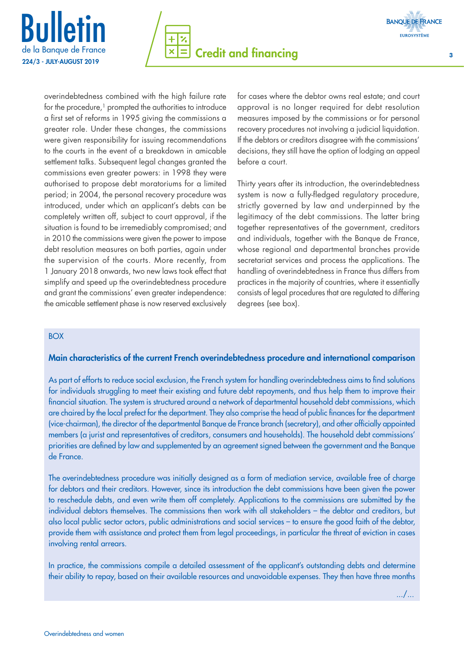





overindebtedness combined with the high failure rate for the procedure,<sup>1</sup> prompted the authorities to introduce a first set of reforms in 1995 giving the commissions a greater role. Under these changes, the commissions were given responsibility for issuing recommendations to the courts in the event of a breakdown in amicable settlement talks. Subsequent legal changes granted the commissions even greater powers: in 1998 they were authorised to propose debt moratoriums for a limited period; in 2004, the personal recovery procedure was introduced, under which an applicant's debts can be completely written off, subject to court approval, if the situation is found to be irremediably compromised; and in 2010 the commissions were given the power to impose debt resolution measures on both parties, again under the supervision of the courts. More recently, from 1 January 2018 onwards, two new laws took effect that simplify and speed up the overindebtedness procedure and grant the commissions' even greater independence: the amicable settlement phase is now reserved exclusively

for cases where the debtor owns real estate; and court approval is no longer required for debt resolution measures imposed by the commissions or for personal recovery procedures not involving a judicial liquidation. If the debtors or creditors disagree with the commissions' decisions, they still have the option of lodging an appeal before a court.

Thirty years after its introduction, the overindebtedness system is now a fully-fledged regulatory procedure, strictly governed by law and underpinned by the legitimacy of the debt commissions. The latter bring together representatives of the government, creditors and individuals, together with the Banque de France, whose regional and departmental branches provide secretariat services and process the applications. The handling of overindebtedness in France thus differs from practices in the majority of countries, where it essentially consists of legal procedures that are regulated to differing degrees (see box).

#### BOX

#### Main characteristics of the current French overindebtedness procedure and international comparison

As part of efforts to reduce social exclusion, the French system for handling overindebtedness aims to find solutions for individuals struggling to meet their existing and future debt repayments, and thus help them to improve their financial situation. The system is structured around a network of departmental household debt commissions, which are chaired by the local prefect for the department. They also comprise the head of public finances for the department (vice-chairman), the director of the departmental Banque de France branch (secretary), and other officially appointed members (a jurist and representatives of creditors, consumers and households). The household debt commissions' priorities are defined by law and supplemented by an agreement signed between the government and the Banque de France.

The overindebtedness procedure was initially designed as a form of mediation service, available free of charge for debtors and their creditors. However, since its introduction the debt commissions have been given the power to reschedule debts, and even write them off completely. Applications to the commissions are submitted by the individual debtors themselves. The commissions then work with all stakeholders – the debtor and creditors, but also local public sector actors, public administrations and social services – to ensure the good faith of the debtor, provide them with assistance and protect them from legal proceedings, in particular the threat of eviction in cases involving rental arrears.

In practice, the commissions compile a detailed assessment of the applicant's outstanding debts and determine their ability to repay, based on their available resources and unavoidable expenses. They then have three months

.../...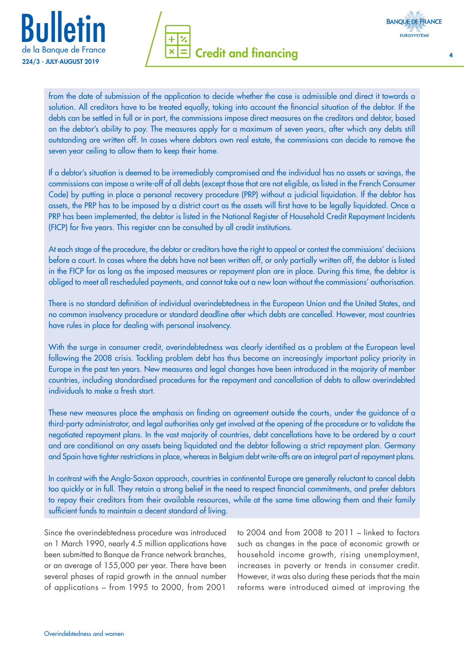





from the date of submission of the application to decide whether the case is admissible and direct it towards a solution. All creditors have to be treated equally, taking into account the financial situation of the debtor. If the debts can be settled in full or in part, the commissions impose direct measures on the creditors and debtor, based on the debtor's ability to pay. The measures apply for a maximum of seven years, after which any debts still outstanding are written off. In cases where debtors own real estate, the commissions can decide to remove the seven year ceiling to allow them to keep their home.

If a debtor's situation is deemed to be irremediably compromised and the individual has no assets or savings, the commissions can impose a write-off of all debts (except those that are not eligible, as listed in the French Consumer Code) by putting in place a personal recovery procedure (PRP) without a judicial liquidation. If the debtor has assets, the PRP has to be imposed by a district court as the assets will first have to be legally liquidated. Once a PRP has been implemented, the debtor is listed in the National Register of Household Credit Repayment Incidents (FICP) for five years. This register can be consulted by all credit institutions.

At each stage of the procedure, the debtor or creditors have the right to appeal or contest the commissions' decisions before a court. In cases where the debts have not been written off, or only partially written off, the debtor is listed in the FICP for as long as the imposed measures or repayment plan are in place. During this time, the debtor is obliged to meet all rescheduled payments, and cannot take out a new loan without the commissions' authorisation.

There is no standard definition of individual overindebtedness in the European Union and the United States, and no common insolvency procedure or standard deadline after which debts are cancelled. However, most countries have rules in place for dealing with personal insolvency.

With the surge in consumer credit, overindebtedness was clearly identified as a problem at the European level following the 2008 crisis. Tackling problem debt has thus become an increasingly important policy priority in Europe in the past ten years. New measures and legal changes have been introduced in the majority of member countries, including standardised procedures for the repayment and cancellation of debts to allow overindebted individuals to make a fresh start.

These new measures place the emphasis on finding an agreement outside the courts, under the guidance of a third-party administrator, and legal authorities only get involved at the opening of the procedure or to validate the negotiated repayment plans. In the vast majority of countries, debt cancellations have to be ordered by a court and are conditional on any assets being liquidated and the debtor following a strict repayment plan. Germany and Spain have tighter restrictions in place, whereas in Belgium debt write-offs are an integral part of repayment plans.

In contrast with the Anglo-Saxon approach, countries in continental Europe are generally reluctant to cancel debts too quickly or in full. They retain a strong belief in the need to respect financial commitments, and prefer debtors to repay their creditors from their available resources, while at the same time allowing them and their family sufficient funds to maintain a decent standard of living.

Since the overindebtedness procedure was introduced on 1 March 1990, nearly 4.5 million applications have been submitted to Banque de France network branches, or an average of 155,000 per year. There have been several phases of rapid growth in the annual number of applications – from 1995 to 2000, from 2001

to 2004 and from 2008 to 2011 – linked to factors such as changes in the pace of economic growth or household income growth, rising unemployment, increases in poverty or trends in consumer credit. However, it was also during these periods that the main reforms were introduced aimed at improving the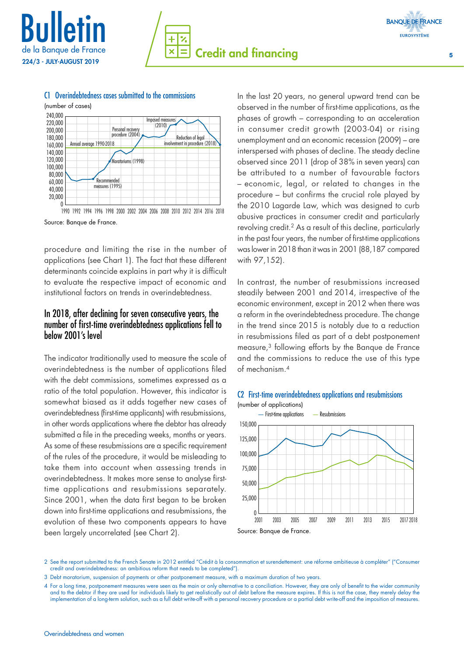

# **Credit and financing 5 and 5 and 5 and 5 and 5 and 5 and 5 and 5 and 5 and 5 and 5 and 5 and 5 and 5 and 5 and 5 and 5 and 5 and 5 and 5 and 5 and 5 and 5 and 5 and 5 and 5 and 5 and 5 and 5 and 5 and 5 and 5 and 5 and 5**  $\overline{\mathbf{x}}$





#### C1 Overindebtedness cases submitted to the commissions

1990 1992 1994 1996 1998 2000 2002 2004 2006 2008 2010 2012 2014 2016 2018 Source: Banque de France.

procedure and limiting the rise in the number of applications (see Chart 1). The fact that these different determinants coincide explains in part why it is difficult to evaluate the respective impact of economic and institutional factors on trends in overindebtedness.

#### In 2018, after declining for seven consecutive years, the number of first-time overindebtedness applications fell to below 2001's level

The indicator traditionally used to measure the scale of overindebtedness is the number of applications filed with the debt commissions, sometimes expressed as a ratio of the total population. However, this indicator is somewhat biased as it adds together new cases of overindebtedness (first-time applicants) with resubmissions, in other words applications where the debtor has already submitted a file in the preceding weeks, months or years. As some of these resubmissions are a specific requirement of the rules of the procedure, it would be misleading to take them into account when assessing trends in overindebtedness. It makes more sense to analyse firsttime applications and resubmissions separately. Since 2001, when the data first began to be broken down into first-time applications and resubmissions, the evolution of these two components appears to have been largely uncorrelated (see Chart 2).

In the last 20 years, no general upward trend can be observed in the number of first-time applications, as the phases of growth – corresponding to an acceleration in consumer credit growth (2003-04) or rising unemployment and an economic recession (2009) – are interspersed with phases of decline. The steady decline observed since 2011 (drop of 38% in seven years) can be attributed to a number of favourable factors – economic, legal, or related to changes in the procedure – but confirms the crucial role played by the 2010 Lagarde Law, which was designed to curb abusive practices in consumer credit and particularly revolving credit.2 As a result of this decline, particularly in the past four years, the number of first-time applications was lower in 2018 than it was in 2001 (88,187 compared with 97,152).

In contrast, the number of resubmissions increased steadily between 2001 and 2014, irrespective of the economic environment, except in 2012 when there was a reform in the overindebtedness procedure. The change in the trend since 2015 is notably due to a reduction in resubmissions filed as part of a debt postponement measure,3 following efforts by the Banque de France and the commissions to reduce the use of this type of mechanism.4



#### C2 First-time overindebtedness applications and resubmissions (number of applications)

2 See the report submitted to the French Senate in 2012 entitled "Crédit à la consommation et surendettement: une réforme ambitieuse à compléter" ("Consumer credit and overindebtedness: an ambitious reform that needs to be completed").

<sup>3</sup> Debt moratorium, suspension of payments or other postponement measure, with a maximum duration of two years.

<sup>4</sup> For a long time, postponement measures were seen as the main or only alternative to a conciliation. However, they are only of benefit to the wider community and to the debtor if they are used for individuals likely to get realistically out of debt before the measure expires. If this is not the case, they merely delay the implementation of a long-term solution, such as a full debt write-off with a personal recovery procedure or a partial debt write-off and the imposition of measures.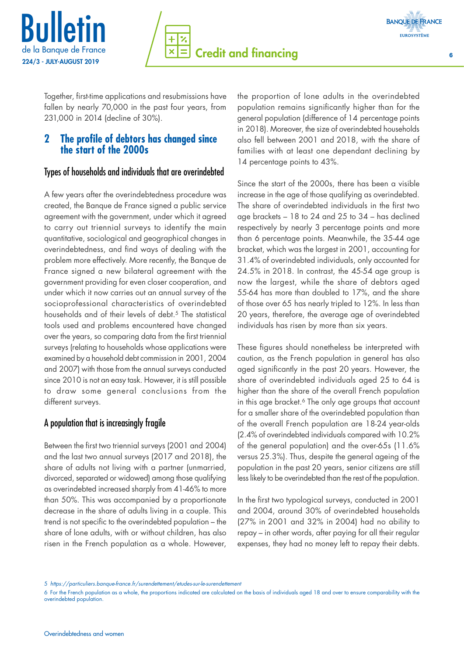





Together, first-time applications and resubmissions have fallen by nearly 70,000 in the past four years, from 231,000 in 2014 (decline of 30%).

#### **2 The profile of debtors has changed since the start of the 2000s**

#### Types of households and individuals that are overindebted

A few years after the overindebtedness procedure was created, the Banque de France signed a public service agreement with the government, under which it agreed to carry out triennial surveys to identify the main quantitative, sociological and geographical changes in overindebtedness, and find ways of dealing with the problem more effectively. More recently, the Banque de France signed a new bilateral agreement with the government providing for even closer cooperation, and under which it now carries out an annual survey of the socioprofessional characteristics of overindebted households and of their levels of debt.<sup>5</sup> The statistical tools used and problems encountered have changed over the years, so comparing data from the first triennial surveys (relating to households whose applications were examined by a household debt commission in 2001, 2004 and 2007) with those from the annual surveys conducted since 2010 is not an easy task. However, it is still possible to draw some general conclusions from the different surveys.

### A population that is increasingly fragile

Between the first two triennial surveys (2001 and 2004) and the last two annual surveys (2017 and 2018), the share of adults not living with a partner (unmarried, divorced, separated or widowed) among those qualifying as overindebted increased sharply from 41-46% to more than 50%. This was accompanied by a proportionate decrease in the share of adults living in a couple. This trend is not specific to the overindebted population – the share of lone adults, with or without children, has also risen in the French population as a whole. However, the proportion of lone adults in the overindebted population remains significantly higher than for the general population (difference of 14 percentage points in 2018). Moreover, the size of overindebted households also fell between 2001 and 2018, with the share of families with at least one dependant declining by 14 percentage points to 43%.

Since the start of the 2000s, there has been a visible increase in the age of those qualifying as overindebted. The share of overindebted individuals in the first two age brackets – 18 to 24 and 25 to 34 – has declined respectively by nearly 3 percentage points and more than 6 percentage points. Meanwhile, the 35-44 age bracket, which was the largest in 2001, accounting for 31.4% of overindebted individuals, only accounted for 24.5% in 2018. In contrast, the 45-54 age group is now the largest, while the share of debtors aged 55-64 has more than doubled to 17%, and the share of those over 65 has nearly tripled to 12%. In less than 20 years, therefore, the average age of overindebted individuals has risen by more than six years.

These figures should nonetheless be interpreted with caution, as the French population in general has also aged significantly in the past 20 years. However, the share of overindebted individuals aged 25 to 64 is higher than the share of the overall French population in this age bracket.<sup>6</sup> The only age groups that account for a smaller share of the overindebted population than of the overall French population are 18-24 year-olds (2.4% of overindebted individuals compared with 10.2% of the general population) and the over-65s (11.6% versus 25.3%). Thus, despite the general ageing of the population in the past 20 years, senior citizens are still less likely to be overindebted than the rest of the population.

In the first two typological surveys, conducted in 2001 and 2004, around 30% of overindebted households (27% in 2001 and 32% in 2004) had no ability to repay – in other words, after paying for all their regular expenses, they had no money left to repay their debts.

<sup>5</sup> *<https://particuliers.banque-france.fr/surendettement/etudes-sur-le-surendettement>*

<sup>6</sup> For the French population as a whole, the proportions indicated are calculated on the basis of individuals aged 18 and over to ensure comparability with the overindebted population.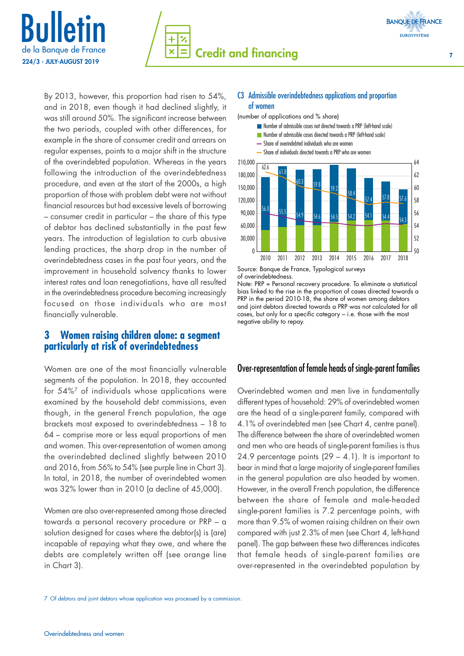



By 2013, however, this proportion had risen to 54%, and in 2018, even though it had declined slightly, it was still around 50%. The significant increase between the two periods, coupled with other differences, for example in the share of consumer credit and arrears on regular expenses, points to a major shift in the structure of the overindebted population. Whereas in the years following the introduction of the overindebtedness procedure, and even at the start of the 2000s, a high proportion of those with problem debt were not without financial resources but had excessive levels of borrowing – consumer credit in particular – the share of this type of debtor has declined substantially in the past few years. The introduction of legislation to curb abusive lending practices, the sharp drop in the number of overindebtedness cases in the past four years, and the improvement in household solvency thanks to lower interest rates and loan renegotiations, have all resulted in the overindebtedness procedure becoming increasingly focused on those individuals who are most financially vulnerable.

#### **3 Women raising children alone: a segment particularly at risk of overindebtedness**

Women are one of the most financially vulnerable segments of the population. In 2018, they accounted for 54%7 of individuals whose applications were examined by the household debt commissions, even though, in the general French population, the age brackets most exposed to overindebtedness – 18 to 64 – comprise more or less equal proportions of men and women. This over-representation of women among the overindebted declined slightly between 2010 and 2016, from 56% to 54% (see purple line in Chart 3). In total, in 2018, the number of overindebted women was 32% lower than in 2010 (a decline of 45,000).

Women are also over-represented among those directed towards a personal recovery procedure or PRP – a solution designed for cases where the debtor(s) is (are) incapable of repaying what they owe, and where the debts are completely written off (see orange line in Chart 3).

#### C3 Admissible overindebtedness applications and proportion of women

(number of applications and % share)



of overindebtedness.

Note: PRP = Personal recovery procedure. To eliminate a statistical bias linked to the rise in the proportion of cases directed towards a PRP in the period 2010-18, the share of women among debtors and joint debtors directed towards a PRP was not calculated for all cases, but only for a specific category – i.e. those with the most negative ability to repay.

#### Over-representation of female heads of single-parent families

Overindebted women and men live in fundamentally different types of household: 29% of overindebted women are the head of a single-parent family, compared with 4.1% of overindebted men (see Chart 4, centre panel). The difference between the share of overindebted women and men who are heads of single-parent families is thus 24.9 percentage points (29 – 4.1). It is important to bear in mind that a large majority of single-parent families in the general population are also headed by women. However, in the overall French population, the difference between the share of female and male-headed single-parent families is 7.2 percentage points, with more than 9.5% of women raising children on their own compared with just 2.3% of men (see Chart 4, left-hand panel). The gap between these two differences indicates that female heads of single-parent families are over-represented in the overindebted population by

<sup>7</sup> Of debtors and joint debtors whose application was processed by a commission.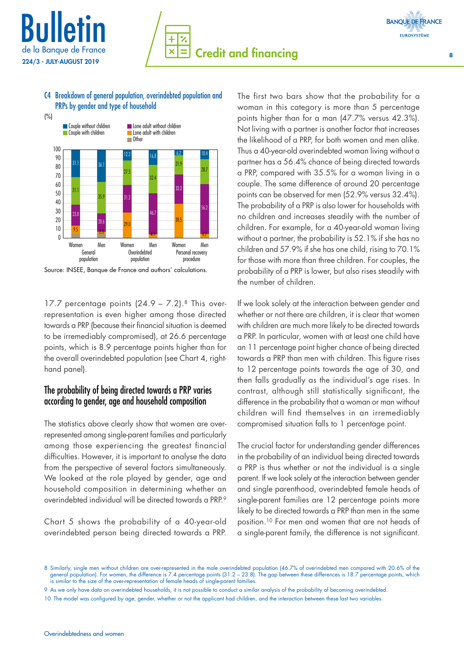

#### C4 Breakdown of general population, overindebted population and PRPs by gender and type of household



Source: INSEE, Banque de France and authors' calculations.

17.7 percentage points  $(24.9 - 7.2)$ .<sup>8</sup> This overrepresentation is even higher among those directed towards a PRP (because their financial situation is deemed to be irremediably compromised), at 26.6 percentage points, which is 8.9 percentage points higher than for the overall overindebted population (see Chart 4, righthand panel).

#### The probability of being directed towards a PRP varies according to gender, age and household composition

The statistics above clearly show that women are overrepresented among single-parent families and particularly among those experiencing the greatest financial difficulties. However, it is important to analyse the data from the perspective of several factors simultaneously. We looked at the role played by gender, age and household composition in determining whether an overindebted individual will be directed towards a PRP.9

Chart 5 shows the probability of a 40-year-old overindebted person being directed towards a PRP. The first two bars show that the probability for a woman in this category is more than 5 percentage points higher than for a man (47.7% versus 42.3%). Not living with a partner is another factor that increases the likelihood of a PRP, for both women and men alike. Thus a 40-year-old overindebted woman living without a partner has a 56.4% chance of being directed towards a PRP, compared with 35.5% for a woman living in a couple. The same difference of around 20 percentage points can be observed for men (52.9% versus 32.4%). The probability of a PRP is also lower for households with no children and increases steadily with the number of children. For example, for a 40-year-old woman living without a partner, the probability is 52.1% if she has no children and 57.9% if she has one child, rising to 70.1% for those with more than three children. For couples, the probability of a PRP is lower, but also rises steadily with the number of children.

If we look solely at the interaction between gender and whether or not there are children, it is clear that women with children are much more likely to be directed towards a PRP. In particular, women with at least one child have an 11 percentage point higher chance of being directed towards a PRP than men with children. This figure rises to 12 percentage points towards the age of 30, and then falls gradually as the individual's age rises. In contrast, although still statistically significant, the difference in the probability that a woman or man without children will find themselves in an irremediably compromised situation falls to 1 percentage point.

The crucial factor for understanding gender differences in the probability of an individual being directed towards a PRP is thus whether or not the individual is a single parent. If we look solely at the interaction between gender and single parenthood, overindebted female heads of single-parent families are 12 percentage points more likely to be directed towards a PRP than men in the same position.10 For men and women that are not heads of a single-parent family, the difference is not significant.

<sup>8</sup> Similarly, single men without children are over-represented in the male overindebted population (46.7% of overindebted men compared with 20.6% of the general population). For women, the difference is 7.4 percentage points (31.2 - 23.8). The gap between these differences is 18.7 percentage points, which is similar to the size of the over-representation of female heads of single-parent families.

<sup>9</sup> As we only have data on overindebted households, it is not possible to conduct a similar analysis of the probability of becoming overindebted.

<sup>10</sup> The model was configured by age, gender, whether or not the applicant had children, and the interaction between these last two variables.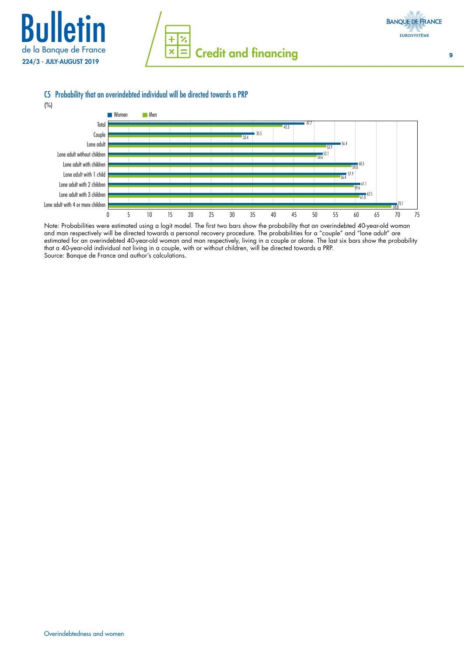







Note: Probabilities were estimated using a logit model. The first two bars show the probability that an overindebted 40-year-old woman and man respectively will be directed towards a personal recovery procedure. The probabilities for a "couple" and "lone adult" are estimated for an overindebted 40-year-old woman and man respectively, living in a couple or alone. The last six bars show the probability that a 40-year-old individual not living in a couple, with or without children, will be directed towards a PRP. Source: Banque de France and author's calculations.